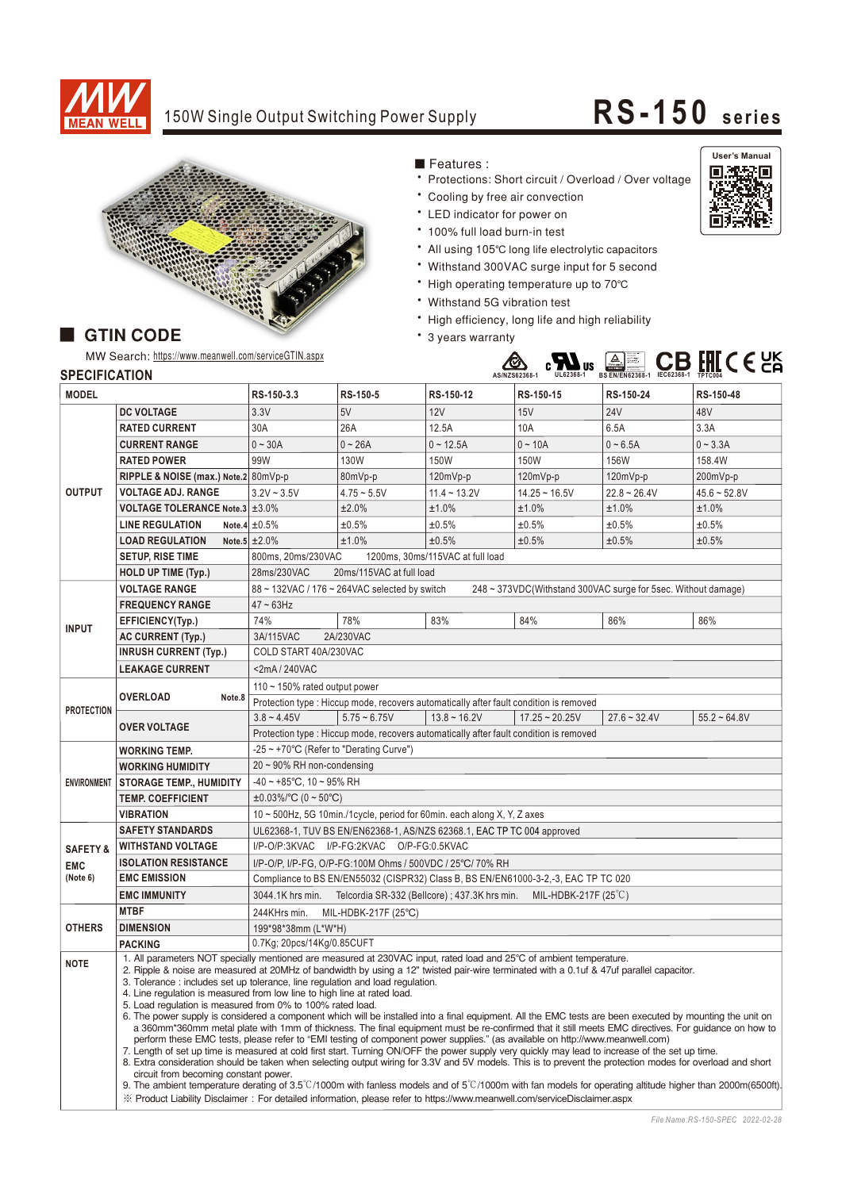

# 150W Single Output Switching Power Supply **RS-150 series**



■ Features :

- \* Protections: Short circuit / Overload / Over voltage
- \* Cooling by free air convection
- LED indicator for power on
- \* 100% full load burn-in test
- All using 105℃ long life electrolytic capacitors
- Withstand 300VAC surge input for 5 second
- High operating temperature up to 70°C
- Withstand 5G vibration test
- High efficiency, long life and high reliability
- \* 3 years warranty



### **AS/NZS62368-1 UL62368-1 IEC62368-1** Bauari gepruft<br>Bauari<br>Sicherheit<br>ETABLIER **BS EN/EN62368-1 TPTC004**

# **GTIN CODE**

MW Search: https://www.meanwell.com/serviceGTIN.aspx

## **SPECIFICATION**

| <b>MODEL</b>        |                                                                                                                                                                                                                                                                                                                                                                                                                                                    | RS-150-3.3                                                                                                                                                | RS-150-5       | RS-150-12                                                                              | RS-150-15        | RS-150-24      | RS-150-48      |
|---------------------|----------------------------------------------------------------------------------------------------------------------------------------------------------------------------------------------------------------------------------------------------------------------------------------------------------------------------------------------------------------------------------------------------------------------------------------------------|-----------------------------------------------------------------------------------------------------------------------------------------------------------|----------------|----------------------------------------------------------------------------------------|------------------|----------------|----------------|
|                     | <b>DC VOLTAGE</b>                                                                                                                                                                                                                                                                                                                                                                                                                                  | 3.3V                                                                                                                                                      | 5V             | 12V                                                                                    | 15V              | <b>24V</b>     | 48V            |
| <b>OUTPUT</b>       | <b>RATED CURRENT</b>                                                                                                                                                                                                                                                                                                                                                                                                                               | 30A                                                                                                                                                       | 26A            | 12.5A                                                                                  | 10A              | 6.5A           | 3.3A           |
|                     | <b>CURRENT RANGE</b>                                                                                                                                                                                                                                                                                                                                                                                                                               | $0 - 30A$                                                                                                                                                 | $0 - 26A$      | $0 - 12.5A$                                                                            | $0 - 10A$        | $0 - 6.5A$     | $0 - 3.3A$     |
|                     | <b>RATED POWER</b>                                                                                                                                                                                                                                                                                                                                                                                                                                 | 99W                                                                                                                                                       | 130W           | 150W                                                                                   | 150W             | <b>156W</b>    | 158.4W         |
|                     | RIPPLE & NOISE (max.) Note.2 80mVp-p                                                                                                                                                                                                                                                                                                                                                                                                               |                                                                                                                                                           | 80mVp-p        | 120mVp-p                                                                               | 120mVp-p         | 120mVp-p       | 200mVp-p       |
|                     | <b>VOLTAGE ADJ. RANGE</b>                                                                                                                                                                                                                                                                                                                                                                                                                          | $3.2V - 3.5V$                                                                                                                                             | $4.75 - 5.5V$  | $11.4 - 13.2V$                                                                         | $14.25 - 16.5V$  | $22.8 - 26.4V$ | $45.6 - 52.8V$ |
|                     | <b>VOLTAGE TOLERANCE Note.3 ±3.0%</b>                                                                                                                                                                                                                                                                                                                                                                                                              |                                                                                                                                                           | ±2.0%          | ±1.0%                                                                                  | $±1.0\%$         | ±1.0%          | ±1.0%          |
|                     | <b>LINE REGULATION</b>                                                                                                                                                                                                                                                                                                                                                                                                                             | Note.4 $\pm 0.5\%$                                                                                                                                        | ±0.5%          | ±0.5%                                                                                  | ±0.5%            | ±0.5%          | ±0.5%          |
|                     | <b>LOAD REGULATION</b>                                                                                                                                                                                                                                                                                                                                                                                                                             | Note.5 $\pm 2.0\%$                                                                                                                                        | ±1.0%          | ±0.5%                                                                                  | ±0.5%            | ±0.5%          | ±0.5%          |
|                     | <b>SETUP, RISE TIME</b>                                                                                                                                                                                                                                                                                                                                                                                                                            | 1200ms, 30ms/115VAC at full load<br>800ms, 20ms/230VAC                                                                                                    |                |                                                                                        |                  |                |                |
|                     | <b>HOLD UP TIME (Typ.)</b>                                                                                                                                                                                                                                                                                                                                                                                                                         | 28ms/230VAC<br>20ms/115VAC at full load                                                                                                                   |                |                                                                                        |                  |                |                |
| <b>INPUT</b>        | <b>VOLTAGE RANGE</b>                                                                                                                                                                                                                                                                                                                                                                                                                               | 88 ~ 132VAC / 176 ~ 264VAC selected by switch<br>248 ~ 373VDC(Withstand 300VAC surge for 5sec. Without damage)                                            |                |                                                                                        |                  |                |                |
|                     | <b>FREQUENCY RANGE</b>                                                                                                                                                                                                                                                                                                                                                                                                                             | $47 \sim 63$ Hz                                                                                                                                           |                |                                                                                        |                  |                |                |
|                     | EFFICIENCY(Typ.)                                                                                                                                                                                                                                                                                                                                                                                                                                   | 74%                                                                                                                                                       | 78%            | 83%                                                                                    | 84%              | 86%            | 86%            |
|                     | <b>AC CURRENT (Typ.)</b>                                                                                                                                                                                                                                                                                                                                                                                                                           | 3A/115VAC<br>2A/230VAC                                                                                                                                    |                |                                                                                        |                  |                |                |
|                     | <b>INRUSH CURRENT (Typ.)</b>                                                                                                                                                                                                                                                                                                                                                                                                                       | COLD START 40A/230VAC                                                                                                                                     |                |                                                                                        |                  |                |                |
|                     | <b>LEAKAGE CURRENT</b>                                                                                                                                                                                                                                                                                                                                                                                                                             | $<$ 2mA/240VAC                                                                                                                                            |                |                                                                                        |                  |                |                |
| <b>PROTECTION</b>   | <b>OVERLOAD</b><br>Note.8                                                                                                                                                                                                                                                                                                                                                                                                                          | 110 ~ 150% rated output power                                                                                                                             |                |                                                                                        |                  |                |                |
|                     |                                                                                                                                                                                                                                                                                                                                                                                                                                                    | Protection type : Hiccup mode, recovers automatically after fault condition is removed                                                                    |                |                                                                                        |                  |                |                |
|                     | <b>OVER VOLTAGE</b>                                                                                                                                                                                                                                                                                                                                                                                                                                | $3.8 - 4.45V$                                                                                                                                             | $5.75 - 6.75V$ | $13.8 \sim 16.2V$                                                                      | $17.25 - 20.25V$ | $27.6 - 32.4V$ | $55.2 - 64.8V$ |
|                     |                                                                                                                                                                                                                                                                                                                                                                                                                                                    |                                                                                                                                                           |                | Protection type : Hiccup mode, recovers automatically after fault condition is removed |                  |                |                |
| <b>ENVIRONMENT</b>  | <b>WORKING TEMP.</b>                                                                                                                                                                                                                                                                                                                                                                                                                               | -25 ~ +70°C (Refer to "Derating Curve")                                                                                                                   |                |                                                                                        |                  |                |                |
|                     | <b>WORKING HUMIDITY</b>                                                                                                                                                                                                                                                                                                                                                                                                                            | $20 \sim 90\%$ RH non-condensing                                                                                                                          |                |                                                                                        |                  |                |                |
|                     | <b>STORAGE TEMP., HUMIDITY</b>                                                                                                                                                                                                                                                                                                                                                                                                                     | $-40 \sim +85^{\circ}$ C, 10 ~ 95% RH                                                                                                                     |                |                                                                                        |                  |                |                |
|                     | <b>TEMP. COEFFICIENT</b>                                                                                                                                                                                                                                                                                                                                                                                                                           | $\pm 0.03\%$ /°C (0 ~ 50°C)                                                                                                                               |                |                                                                                        |                  |                |                |
|                     | 10 ~ 500Hz, 5G 10min./1cycle, period for 60min. each along X, Y, Z axes<br><b>VIBRATION</b>                                                                                                                                                                                                                                                                                                                                                        |                                                                                                                                                           |                |                                                                                        |                  |                |                |
|                     | UL62368-1, TUV BS EN/EN62368-1, AS/NZS 62368.1, EAC TP TC 004 approved<br><b>SAFETY STANDARDS</b>                                                                                                                                                                                                                                                                                                                                                  |                                                                                                                                                           |                |                                                                                        |                  |                |                |
| <b>SAFETY &amp;</b> | <b>WITHSTAND VOLTAGE</b>                                                                                                                                                                                                                                                                                                                                                                                                                           | I/P-O/P:3KVAC I/P-FG:2KVAC O/P-FG:0.5KVAC                                                                                                                 |                |                                                                                        |                  |                |                |
| <b>EMC</b>          | <b>ISOLATION RESISTANCE</b>                                                                                                                                                                                                                                                                                                                                                                                                                        | I/P-O/P, I/P-FG, O/P-FG:100M Ohms / 500VDC / 25°C/ 70% RH                                                                                                 |                |                                                                                        |                  |                |                |
| (Note 6)            | <b>EMC EMISSION</b>                                                                                                                                                                                                                                                                                                                                                                                                                                | Compliance to BS EN/EN55032 (CISPR32) Class B, BS EN/EN61000-3-2,-3, EAC TP TC 020                                                                        |                |                                                                                        |                  |                |                |
|                     | 3044.1K hrs min. Telcordia SR-332 (Bellcore); 437.3K hrs min.<br>MIL-HDBK-217F $(25^{\circ}C)$<br><b>EMC IMMUNITY</b>                                                                                                                                                                                                                                                                                                                              |                                                                                                                                                           |                |                                                                                        |                  |                |                |
| <b>OTHERS</b>       | <b>MTBF</b>                                                                                                                                                                                                                                                                                                                                                                                                                                        | 244KHrs min.<br>MIL-HDBK-217F (25°C)                                                                                                                      |                |                                                                                        |                  |                |                |
|                     | <b>DIMENSION</b>                                                                                                                                                                                                                                                                                                                                                                                                                                   | 199*98*38mm (L*W*H)                                                                                                                                       |                |                                                                                        |                  |                |                |
|                     | <b>PACKING</b>                                                                                                                                                                                                                                                                                                                                                                                                                                     | 0.7Kg; 20pcs/14Kg/0.85CUFT                                                                                                                                |                |                                                                                        |                  |                |                |
| <b>NOTE</b>         | 1. All parameters NOT specially mentioned are measured at 230VAC input, rated load and 25°C of ambient temperature.<br>2. Ripple & noise are measured at 20MHz of bandwidth by using a 12" twisted pair-wire terminated with a 0.1uf & 47uf parallel capacitor.                                                                                                                                                                                    |                                                                                                                                                           |                |                                                                                        |                  |                |                |
|                     | 3. Tolerance : includes set up tolerance, line regulation and load regulation.<br>4. Line regulation is measured from low line to high line at rated load.                                                                                                                                                                                                                                                                                         |                                                                                                                                                           |                |                                                                                        |                  |                |                |
|                     |                                                                                                                                                                                                                                                                                                                                                                                                                                                    | 5. Load regulation is measured from 0% to 100% rated load.                                                                                                |                |                                                                                        |                  |                |                |
|                     | 6. The power supply is considered a component which will be installed into a final equipment. All the EMC tests are been executed by mounting the unit on<br>a 360mm*360mm metal plate with 1mm of thickness. The final equipment must be re-confirmed that it still meets EMC directives. For guidance on how to<br>perform these EMC tests, please refer to "EMI testing of component power supplies." (as available on http://www.meanwell.com) |                                                                                                                                                           |                |                                                                                        |                  |                |                |
|                     |                                                                                                                                                                                                                                                                                                                                                                                                                                                    |                                                                                                                                                           |                |                                                                                        |                  |                |                |
|                     | 7. Length of set up time is measured at cold first start. Turning ON/OFF the power supply very quickly may lead to increase of the set up time.<br>8. Extra consideration should be taken when selecting output wiring for 3.3V and 5V models. This is to prevent the protection modes for overload and short<br>circuit from becoming constant power.                                                                                             |                                                                                                                                                           |                |                                                                                        |                  |                |                |
|                     |                                                                                                                                                                                                                                                                                                                                                                                                                                                    |                                                                                                                                                           |                |                                                                                        |                  |                |                |
|                     |                                                                                                                                                                                                                                                                                                                                                                                                                                                    | 9. The ambient temperature derating of 3.5°C/1000m with fanless models and of 5°C/1000m with fan models for operating altitude higher than 2000m(6500ft). |                |                                                                                        |                  |                |                |
|                     | X Product Liability Disclaimer: For detailed information, please refer to https://www.meanwell.com/serviceDisclaimer.aspx                                                                                                                                                                                                                                                                                                                          |                                                                                                                                                           |                |                                                                                        |                  |                |                |